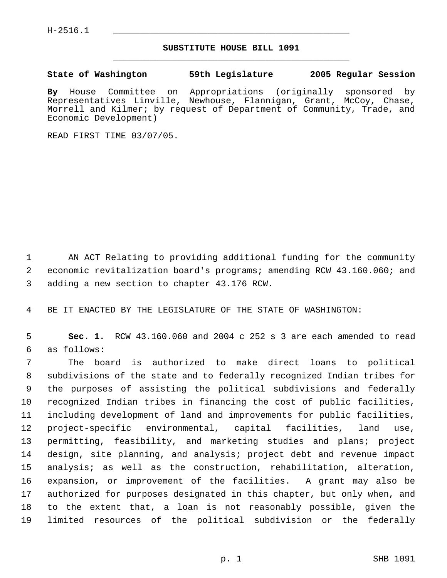## **SUBSTITUTE HOUSE BILL 1091** \_\_\_\_\_\_\_\_\_\_\_\_\_\_\_\_\_\_\_\_\_\_\_\_\_\_\_\_\_\_\_\_\_\_\_\_\_\_\_\_\_\_\_\_\_

**State of Washington 59th Legislature 2005 Regular Session**

**By** House Committee on Appropriations (originally sponsored by Representatives Linville, Newhouse, Flannigan, Grant, McCoy, Chase, Morrell and Kilmer; by request of Department of Community, Trade, and Economic Development)

READ FIRST TIME 03/07/05.

 AN ACT Relating to providing additional funding for the community economic revitalization board's programs; amending RCW 43.160.060; and adding a new section to chapter 43.176 RCW.

BE IT ENACTED BY THE LEGISLATURE OF THE STATE OF WASHINGTON:

 **Sec. 1.** RCW 43.160.060 and 2004 c 252 s 3 are each amended to read as follows:

 The board is authorized to make direct loans to political subdivisions of the state and to federally recognized Indian tribes for the purposes of assisting the political subdivisions and federally recognized Indian tribes in financing the cost of public facilities, including development of land and improvements for public facilities, project-specific environmental, capital facilities, land use, permitting, feasibility, and marketing studies and plans; project design, site planning, and analysis; project debt and revenue impact analysis; as well as the construction, rehabilitation, alteration, expansion, or improvement of the facilities. A grant may also be authorized for purposes designated in this chapter, but only when, and to the extent that, a loan is not reasonably possible, given the limited resources of the political subdivision or the federally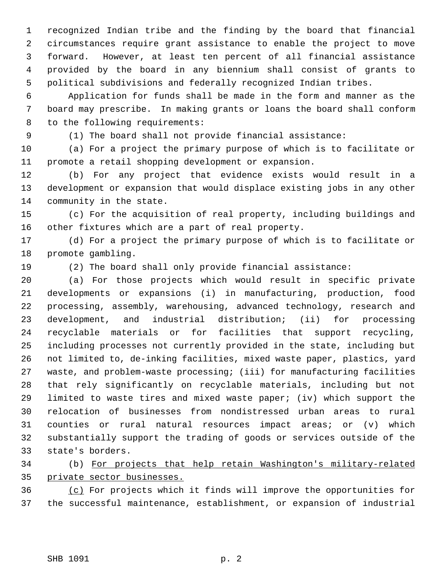recognized Indian tribe and the finding by the board that financial circumstances require grant assistance to enable the project to move forward. However, at least ten percent of all financial assistance provided by the board in any biennium shall consist of grants to political subdivisions and federally recognized Indian tribes.

 Application for funds shall be made in the form and manner as the board may prescribe. In making grants or loans the board shall conform to the following requirements:

(1) The board shall not provide financial assistance:

 (a) For a project the primary purpose of which is to facilitate or promote a retail shopping development or expansion.

 (b) For any project that evidence exists would result in a development or expansion that would displace existing jobs in any other community in the state.

 (c) For the acquisition of real property, including buildings and other fixtures which are a part of real property.

 (d) For a project the primary purpose of which is to facilitate or promote gambling.

(2) The board shall only provide financial assistance:

 (a) For those projects which would result in specific private developments or expansions (i) in manufacturing, production, food processing, assembly, warehousing, advanced technology, research and development, and industrial distribution; (ii) for processing recyclable materials or for facilities that support recycling, including processes not currently provided in the state, including but not limited to, de-inking facilities, mixed waste paper, plastics, yard waste, and problem-waste processing; (iii) for manufacturing facilities that rely significantly on recyclable materials, including but not limited to waste tires and mixed waste paper; (iv) which support the relocation of businesses from nondistressed urban areas to rural counties or rural natural resources impact areas; or (v) which substantially support the trading of goods or services outside of the state's borders.

 (b) For projects that help retain Washington's military-related private sector businesses.

 (c) For projects which it finds will improve the opportunities for the successful maintenance, establishment, or expansion of industrial